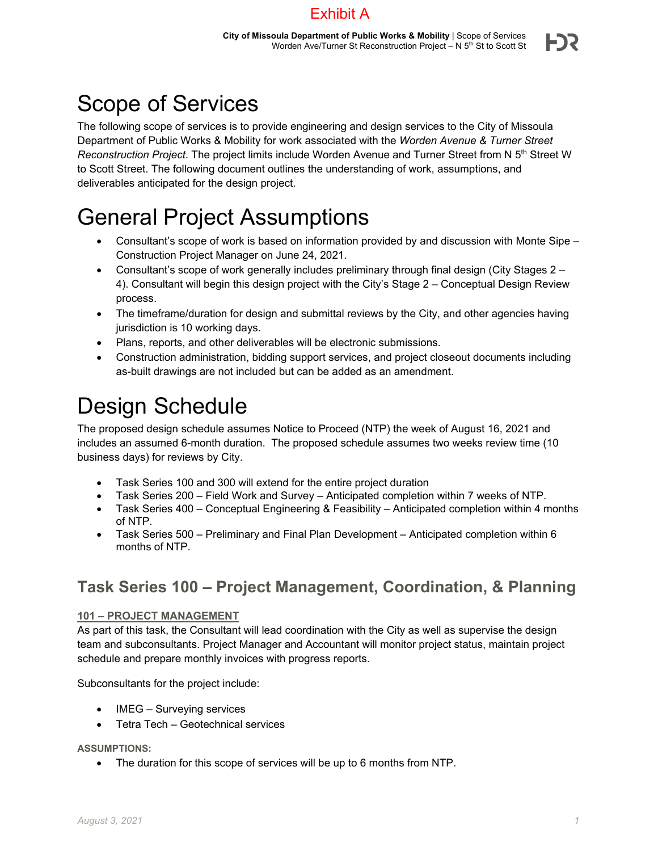### Exhibit A

# Scope of Services

The following scope of services is to provide engineering and design services to the City of Missoula Department of Public Works & Mobility for work associated with the *Worden Avenue & Turner Street Reconstruction Project*. The project limits include Worden Avenue and Turner Street from N 5th Street W to Scott Street. The following document outlines the understanding of work, assumptions, and deliverables anticipated for the design project.

## General Project Assumptions

- Consultant's scope of work is based on information provided by and discussion with Monte Sipe Construction Project Manager on June 24, 2021.
- Consultant's scope of work generally includes preliminary through final design (City Stages 2 4). Consultant will begin this design project with the City's Stage 2 – Conceptual Design Review process.
- The timeframe/duration for design and submittal reviews by the City, and other agencies having jurisdiction is 10 working days.
- Plans, reports, and other deliverables will be electronic submissions.
- Construction administration, bidding support services, and project closeout documents including as-built drawings are not included but can be added as an amendment.

## Design Schedule

The proposed design schedule assumes Notice to Proceed (NTP) the week of August 16, 2021 and includes an assumed 6-month duration. The proposed schedule assumes two weeks review time (10 business days) for reviews by City.

- Task Series 100 and 300 will extend for the entire project duration
- Task Series 200 Field Work and Survey Anticipated completion within 7 weeks of NTP.
- Task Series 400 Conceptual Engineering & Feasibility Anticipated completion within 4 months of NTP.
- Task Series 500 Preliminary and Final Plan Development Anticipated completion within 6 months of NTP.

### **Task Series 100 – Project Management, Coordination, & Planning**

### **101 – PROJECT MANAGEMENT**

As part of this task, the Consultant will lead coordination with the City as well as supervise the design team and subconsultants. Project Manager and Accountant will monitor project status, maintain project schedule and prepare monthly invoices with progress reports.

Subconsultants for the project include:

- IMEG Surveying services
- Tetra Tech Geotechnical services

**ASSUMPTIONS:** 

The duration for this scope of services will be up to 6 months from NTP.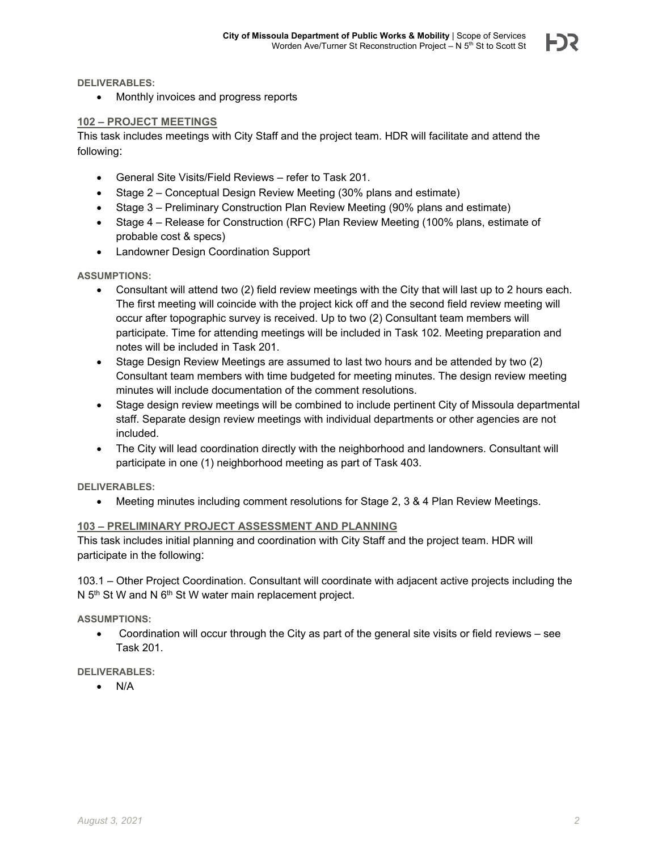**DELIVERABLES:** 

• Monthly invoices and progress reports

#### **102 – PROJECT MEETINGS**

This task includes meetings with City Staff and the project team. HDR will facilitate and attend the following:

- General Site Visits/Field Reviews refer to Task 201.
- Stage 2 Conceptual Design Review Meeting (30% plans and estimate)
- Stage 3 Preliminary Construction Plan Review Meeting (90% plans and estimate)
- Stage 4 Release for Construction (RFC) Plan Review Meeting (100% plans, estimate of probable cost & specs)
- Landowner Design Coordination Support

#### **ASSUMPTIONS:**

- Consultant will attend two (2) field review meetings with the City that will last up to 2 hours each. The first meeting will coincide with the project kick off and the second field review meeting will occur after topographic survey is received. Up to two (2) Consultant team members will participate. Time for attending meetings will be included in Task 102. Meeting preparation and notes will be included in Task 201.
- Stage Design Review Meetings are assumed to last two hours and be attended by two (2) Consultant team members with time budgeted for meeting minutes. The design review meeting minutes will include documentation of the comment resolutions.
- Stage design review meetings will be combined to include pertinent City of Missoula departmental staff. Separate design review meetings with individual departments or other agencies are not included.
- The City will lead coordination directly with the neighborhood and landowners. Consultant will participate in one (1) neighborhood meeting as part of Task 403.

#### **DELIVERABLES:**

Meeting minutes including comment resolutions for Stage 2, 3 & 4 Plan Review Meetings.

#### **103 – PRELIMINARY PROJECT ASSESSMENT AND PLANNING**

This task includes initial planning and coordination with City Staff and the project team. HDR will participate in the following:

103.1 – Other Project Coordination. Consultant will coordinate with adjacent active projects including the N  $5<sup>th</sup>$  St W and N  $6<sup>th</sup>$  St W water main replacement project.

#### **ASSUMPTIONS:**

 Coordination will occur through the City as part of the general site visits or field reviews – see Task 201.

#### **DELIVERABLES:**

 $\bullet$  N/A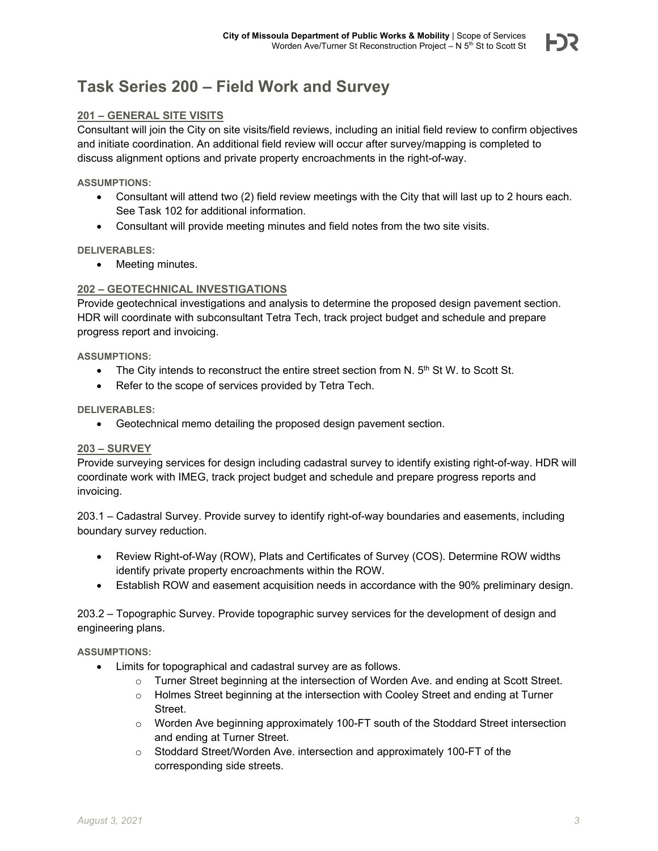### **Task Series 200 – Field Work and Survey**

#### **201 – GENERAL SITE VISITS**

Consultant will join the City on site visits/field reviews, including an initial field review to confirm objectives and initiate coordination. An additional field review will occur after survey/mapping is completed to discuss alignment options and private property encroachments in the right-of-way.

#### **ASSUMPTIONS:**

- Consultant will attend two (2) field review meetings with the City that will last up to 2 hours each. See Task 102 for additional information.
- Consultant will provide meeting minutes and field notes from the two site visits.

#### **DELIVERABLES:**

• Meeting minutes.

#### **202 – GEOTECHNICAL INVESTIGATIONS**

Provide geotechnical investigations and analysis to determine the proposed design pavement section. HDR will coordinate with subconsultant Tetra Tech, track project budget and schedule and prepare progress report and invoicing.

**ASSUMPTIONS:** 

- $\bullet$  The City intends to reconstruct the entire street section from N.  $5<sup>th</sup>$  St W. to Scott St.
- Refer to the scope of services provided by Tetra Tech.

#### **DELIVERABLES:**

Geotechnical memo detailing the proposed design pavement section.

#### **203 – SURVEY**

Provide surveying services for design including cadastral survey to identify existing right-of-way. HDR will coordinate work with IMEG, track project budget and schedule and prepare progress reports and invoicing.

203.1 – Cadastral Survey. Provide survey to identify right-of-way boundaries and easements, including boundary survey reduction.

- Review Right-of-Way (ROW), Plats and Certificates of Survey (COS). Determine ROW widths identify private property encroachments within the ROW.
- Establish ROW and easement acquisition needs in accordance with the 90% preliminary design.

203.2 – Topographic Survey. Provide topographic survey services for the development of design and engineering plans.

#### **ASSUMPTIONS:**

- Limits for topographical and cadastral survey are as follows.
	- $\circ$  Turner Street beginning at the intersection of Worden Ave. and ending at Scott Street.
	- o Holmes Street beginning at the intersection with Cooley Street and ending at Turner Street.
	- $\circ$  Worden Ave beginning approximately 100-FT south of the Stoddard Street intersection and ending at Turner Street.
	- $\circ$  Stoddard Street/Worden Ave. intersection and approximately 100-FT of the corresponding side streets.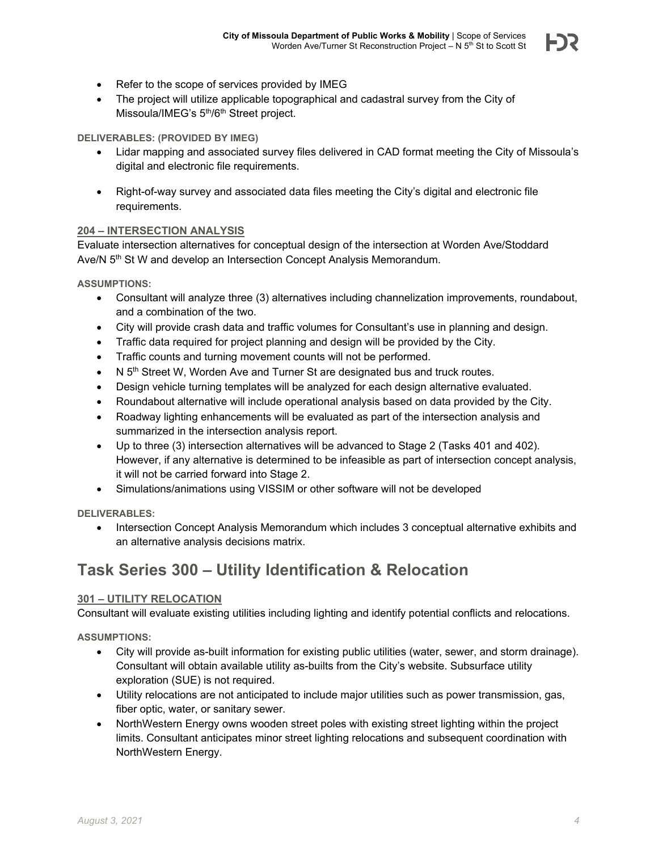- Refer to the scope of services provided by IMEG
- The project will utilize applicable topographical and cadastral survey from the City of Missoula/IMEG's 5<sup>th</sup>/6<sup>th</sup> Street project.

#### **DELIVERABLES: (PROVIDED BY IMEG)**

- Lidar mapping and associated survey files delivered in CAD format meeting the City of Missoula's digital and electronic file requirements.
- Right-of-way survey and associated data files meeting the City's digital and electronic file requirements.

#### **204 – INTERSECTION ANALYSIS**

Evaluate intersection alternatives for conceptual design of the intersection at Worden Ave/Stoddard Ave/N 5<sup>th</sup> St W and develop an Intersection Concept Analysis Memorandum.

**ASSUMPTIONS:** 

- Consultant will analyze three (3) alternatives including channelization improvements, roundabout, and a combination of the two.
- City will provide crash data and traffic volumes for Consultant's use in planning and design.
- Traffic data required for project planning and design will be provided by the City.
- Traffic counts and turning movement counts will not be performed.
- N 5<sup>th</sup> Street W, Worden Ave and Turner St are designated bus and truck routes.
- Design vehicle turning templates will be analyzed for each design alternative evaluated.
- Roundabout alternative will include operational analysis based on data provided by the City.
- Roadway lighting enhancements will be evaluated as part of the intersection analysis and summarized in the intersection analysis report.
- Up to three (3) intersection alternatives will be advanced to Stage 2 (Tasks 401 and 402). However, if any alternative is determined to be infeasible as part of intersection concept analysis, it will not be carried forward into Stage 2.
- Simulations/animations using VISSIM or other software will not be developed

**DELIVERABLES:** 

• Intersection Concept Analysis Memorandum which includes 3 conceptual alternative exhibits and an alternative analysis decisions matrix.

### **Task Series 300 – Utility Identification & Relocation**

#### **301 – UTILITY RELOCATION**

Consultant will evaluate existing utilities including lighting and identify potential conflicts and relocations.

**ASSUMPTIONS:** 

- City will provide as-built information for existing public utilities (water, sewer, and storm drainage). Consultant will obtain available utility as-builts from the City's website. Subsurface utility exploration (SUE) is not required.
- Utility relocations are not anticipated to include major utilities such as power transmission, gas, fiber optic, water, or sanitary sewer.
- NorthWestern Energy owns wooden street poles with existing street lighting within the project limits. Consultant anticipates minor street lighting relocations and subsequent coordination with NorthWestern Energy.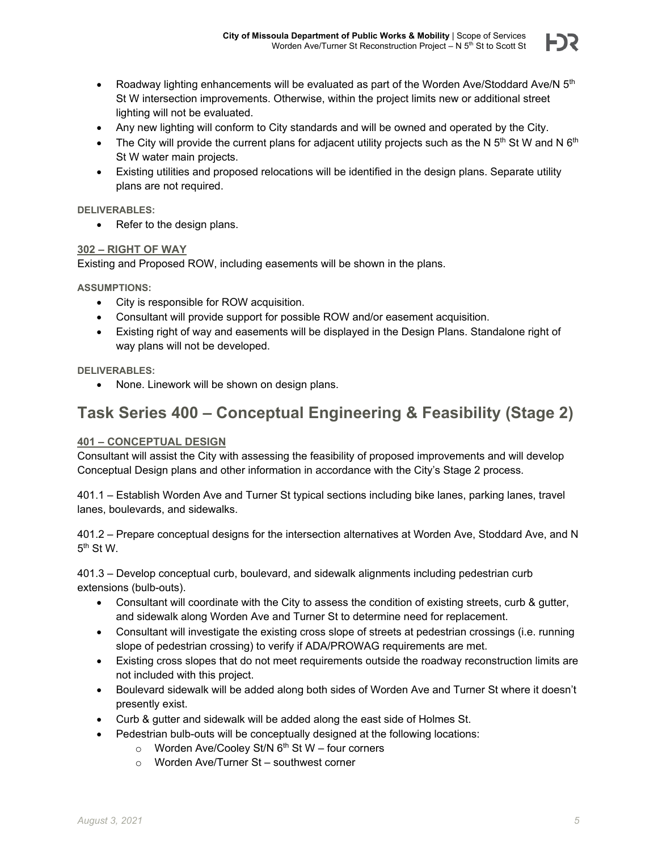

- Roadway lighting enhancements will be evaluated as part of the Worden Ave/Stoddard Ave/N  $5<sup>th</sup>$ St W intersection improvements. Otherwise, within the project limits new or additional street lighting will not be evaluated.
- Any new lighting will conform to City standards and will be owned and operated by the City.
- The City will provide the current plans for adjacent utility projects such as the N  $5<sup>th</sup>$  St W and N  $6<sup>th</sup>$ St W water main projects.
- Existing utilities and proposed relocations will be identified in the design plans. Separate utility plans are not required.

#### **DELIVERABLES:**

• Refer to the design plans.

#### **302 – RIGHT OF WAY**

Existing and Proposed ROW, including easements will be shown in the plans.

**ASSUMPTIONS:** 

- City is responsible for ROW acquisition.
- Consultant will provide support for possible ROW and/or easement acquisition.
- Existing right of way and easements will be displayed in the Design Plans. Standalone right of way plans will not be developed.

**DELIVERABLES:** 

None. Linework will be shown on design plans.

### **Task Series 400 – Conceptual Engineering & Feasibility (Stage 2)**

#### **401 – CONCEPTUAL DESIGN**

Consultant will assist the City with assessing the feasibility of proposed improvements and will develop Conceptual Design plans and other information in accordance with the City's Stage 2 process.

401.1 – Establish Worden Ave and Turner St typical sections including bike lanes, parking lanes, travel lanes, boulevards, and sidewalks.

401.2 – Prepare conceptual designs for the intersection alternatives at Worden Ave, Stoddard Ave, and N 5th St W.

401.3 – Develop conceptual curb, boulevard, and sidewalk alignments including pedestrian curb extensions (bulb-outs).

- Consultant will coordinate with the City to assess the condition of existing streets, curb & gutter, and sidewalk along Worden Ave and Turner St to determine need for replacement.
- Consultant will investigate the existing cross slope of streets at pedestrian crossings (i.e. running slope of pedestrian crossing) to verify if ADA/PROWAG requirements are met.
- Existing cross slopes that do not meet requirements outside the roadway reconstruction limits are not included with this project.
- Boulevard sidewalk will be added along both sides of Worden Ave and Turner St where it doesn't presently exist.
- Curb & gutter and sidewalk will be added along the east side of Holmes St.
- Pedestrian bulb-outs will be conceptually designed at the following locations:
	- $\circ$  Worden Ave/Cooley St/N 6<sup>th</sup> St W four corners
	- o Worden Ave/Turner St southwest corner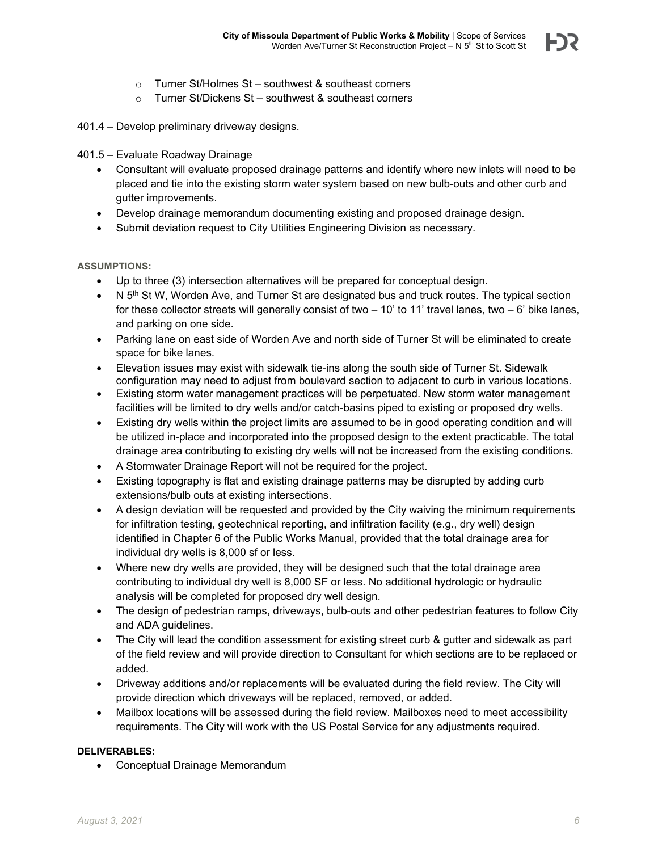- o Turner St/Holmes St southwest & southeast corners
- o Turner St/Dickens St southwest & southeast corners
- 401.4 Develop preliminary driveway designs.

#### 401.5 – Evaluate Roadway Drainage

- Consultant will evaluate proposed drainage patterns and identify where new inlets will need to be placed and tie into the existing storm water system based on new bulb-outs and other curb and gutter improvements.
- Develop drainage memorandum documenting existing and proposed drainage design.
- Submit deviation request to City Utilities Engineering Division as necessary.

#### **ASSUMPTIONS:**

- Up to three (3) intersection alternatives will be prepared for conceptual design.
- $\bullet$  N 5<sup>th</sup> St W, Worden Ave, and Turner St are designated bus and truck routes. The typical section for these collector streets will generally consist of two  $-10'$  to 11' travel lanes, two  $-6'$  bike lanes, and parking on one side.
- Parking lane on east side of Worden Ave and north side of Turner St will be eliminated to create space for bike lanes.
- Elevation issues may exist with sidewalk tie-ins along the south side of Turner St. Sidewalk configuration may need to adjust from boulevard section to adjacent to curb in various locations.
- Existing storm water management practices will be perpetuated. New storm water management facilities will be limited to dry wells and/or catch-basins piped to existing or proposed dry wells.
- Existing dry wells within the project limits are assumed to be in good operating condition and will be utilized in-place and incorporated into the proposed design to the extent practicable. The total drainage area contributing to existing dry wells will not be increased from the existing conditions.
- A Stormwater Drainage Report will not be required for the project.
- Existing topography is flat and existing drainage patterns may be disrupted by adding curb extensions/bulb outs at existing intersections.
- A design deviation will be requested and provided by the City waiving the minimum requirements for infiltration testing, geotechnical reporting, and infiltration facility (e.g., dry well) design identified in Chapter 6 of the Public Works Manual, provided that the total drainage area for individual dry wells is 8,000 sf or less.
- Where new dry wells are provided, they will be designed such that the total drainage area contributing to individual dry well is 8,000 SF or less. No additional hydrologic or hydraulic analysis will be completed for proposed dry well design.
- The design of pedestrian ramps, driveways, bulb-outs and other pedestrian features to follow City and ADA guidelines.
- The City will lead the condition assessment for existing street curb & gutter and sidewalk as part of the field review and will provide direction to Consultant for which sections are to be replaced or added.
- Driveway additions and/or replacements will be evaluated during the field review. The City will provide direction which driveways will be replaced, removed, or added.
- Mailbox locations will be assessed during the field review. Mailboxes need to meet accessibility requirements. The City will work with the US Postal Service for any adjustments required.

#### **DELIVERABLES:**

Conceptual Drainage Memorandum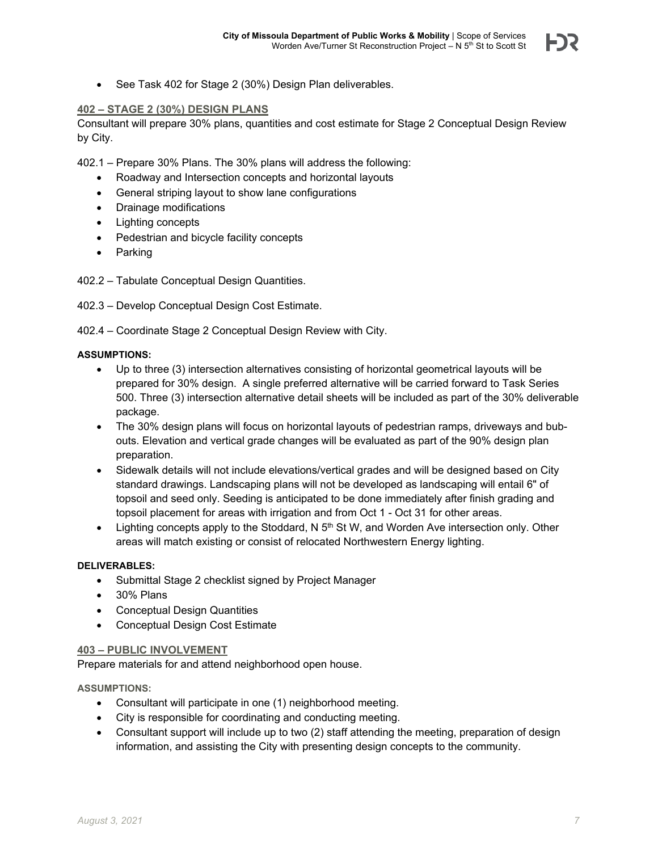

See Task 402 for Stage 2 (30%) Design Plan deliverables.

#### **402 – STAGE 2 (30%) DESIGN PLANS**

Consultant will prepare 30% plans, quantities and cost estimate for Stage 2 Conceptual Design Review by City.

402.1 – Prepare 30% Plans. The 30% plans will address the following:

- Roadway and Intersection concepts and horizontal layouts
- General striping layout to show lane configurations
- Drainage modifications
- Lighting concepts
- Pedestrian and bicycle facility concepts
- Parking

402.2 – Tabulate Conceptual Design Quantities.

- 402.3 Develop Conceptual Design Cost Estimate.
- 402.4 Coordinate Stage 2 Conceptual Design Review with City.

#### **ASSUMPTIONS:**

- Up to three (3) intersection alternatives consisting of horizontal geometrical layouts will be prepared for 30% design. A single preferred alternative will be carried forward to Task Series 500. Three (3) intersection alternative detail sheets will be included as part of the 30% deliverable package.
- The 30% design plans will focus on horizontal layouts of pedestrian ramps, driveways and bubouts. Elevation and vertical grade changes will be evaluated as part of the 90% design plan preparation.
- Sidewalk details will not include elevations/vertical grades and will be designed based on City standard drawings. Landscaping plans will not be developed as landscaping will entail 6" of topsoil and seed only. Seeding is anticipated to be done immediately after finish grading and topsoil placement for areas with irrigation and from Oct 1 - Oct 31 for other areas.
- Lighting concepts apply to the Stoddard, N  $5<sup>th</sup>$  St W, and Worden Ave intersection only. Other areas will match existing or consist of relocated Northwestern Energy lighting.

#### **DELIVERABLES:**

- Submittal Stage 2 checklist signed by Project Manager
- 30% Plans
- Conceptual Design Quantities
- Conceptual Design Cost Estimate

#### **403 – PUBLIC INVOLVEMENT**

Prepare materials for and attend neighborhood open house.

#### **ASSUMPTIONS:**

- Consultant will participate in one (1) neighborhood meeting.
- City is responsible for coordinating and conducting meeting.
- Consultant support will include up to two (2) staff attending the meeting, preparation of design information, and assisting the City with presenting design concepts to the community.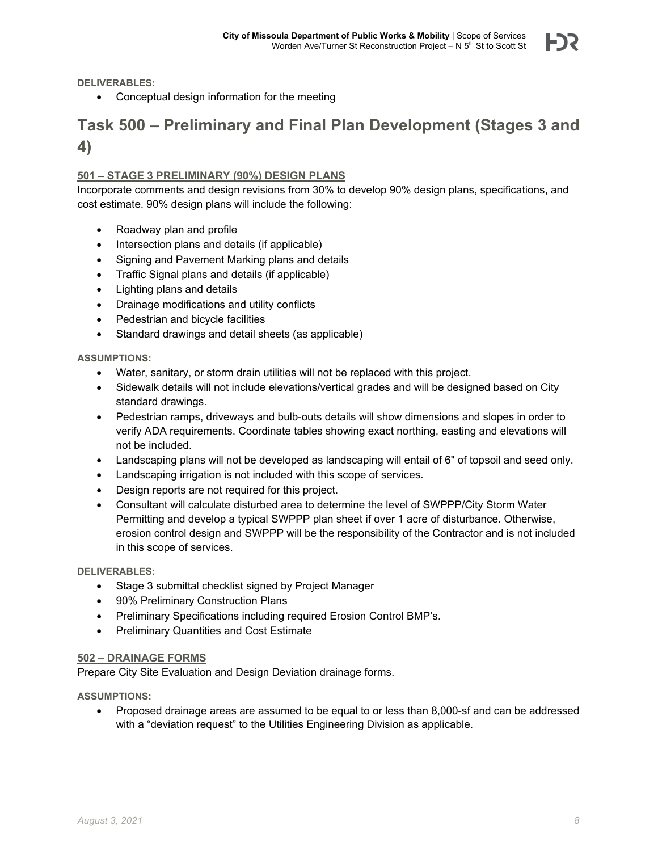**DELIVERABLES:** 

Conceptual design information for the meeting

### **Task 500 – Preliminary and Final Plan Development (Stages 3 and 4)**

#### **501 – STAGE 3 PRELIMINARY (90%) DESIGN PLANS**

Incorporate comments and design revisions from 30% to develop 90% design plans, specifications, and cost estimate. 90% design plans will include the following:

- Roadway plan and profile
- Intersection plans and details (if applicable)
- Signing and Pavement Marking plans and details
- Traffic Signal plans and details (if applicable)
- Lighting plans and details
- Drainage modifications and utility conflicts
- Pedestrian and bicycle facilities
- Standard drawings and detail sheets (as applicable)

**ASSUMPTIONS:** 

- Water, sanitary, or storm drain utilities will not be replaced with this project.
- Sidewalk details will not include elevations/vertical grades and will be designed based on City standard drawings.
- Pedestrian ramps, driveways and bulb-outs details will show dimensions and slopes in order to verify ADA requirements. Coordinate tables showing exact northing, easting and elevations will not be included.
- Landscaping plans will not be developed as landscaping will entail of 6" of topsoil and seed only.
- Landscaping irrigation is not included with this scope of services.
- Design reports are not required for this project.
- Consultant will calculate disturbed area to determine the level of SWPPP/City Storm Water Permitting and develop a typical SWPPP plan sheet if over 1 acre of disturbance. Otherwise, erosion control design and SWPPP will be the responsibility of the Contractor and is not included in this scope of services.

**DELIVERABLES:** 

- Stage 3 submittal checklist signed by Project Manager
- 90% Preliminary Construction Plans
- Preliminary Specifications including required Erosion Control BMP's.
- Preliminary Quantities and Cost Estimate

#### **502 – DRAINAGE FORMS**

Prepare City Site Evaluation and Design Deviation drainage forms.

**ASSUMPTIONS:** 

 Proposed drainage areas are assumed to be equal to or less than 8,000-sf and can be addressed with a "deviation request" to the Utilities Engineering Division as applicable.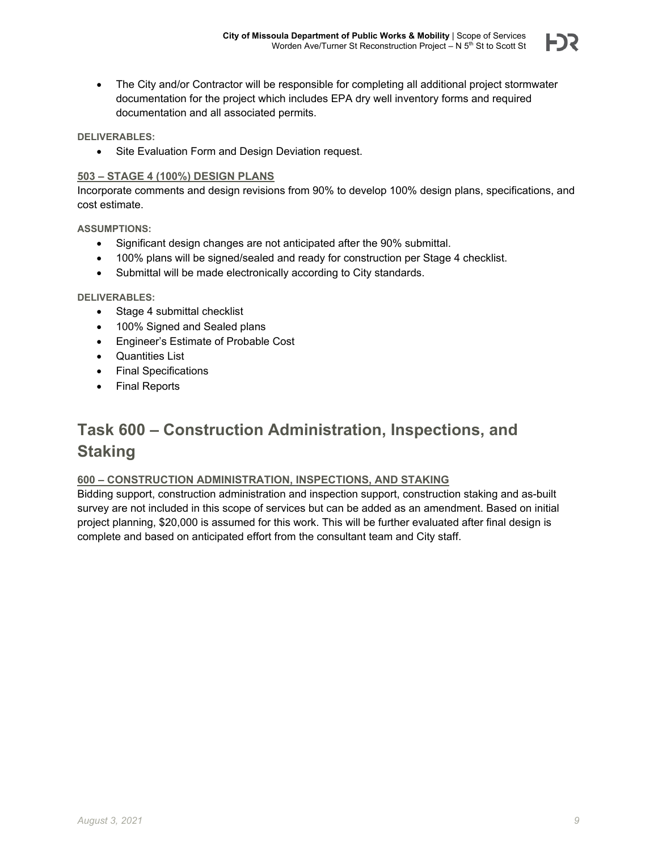

 The City and/or Contractor will be responsible for completing all additional project stormwater documentation for the project which includes EPA dry well inventory forms and required documentation and all associated permits.

#### **DELIVERABLES:**

• Site Evaluation Form and Design Deviation request.

#### **503 – STAGE 4 (100%) DESIGN PLANS**

Incorporate comments and design revisions from 90% to develop 100% design plans, specifications, and cost estimate.

**ASSUMPTIONS:** 

- Significant design changes are not anticipated after the 90% submittal.
- 100% plans will be signed/sealed and ready for construction per Stage 4 checklist.
- Submittal will be made electronically according to City standards.

#### **DELIVERABLES:**

- Stage 4 submittal checklist
- 100% Signed and Sealed plans
- Engineer's Estimate of Probable Cost
- Quantities List
- Final Specifications
- Final Reports

## **Task 600 – Construction Administration, Inspections, and Staking**

#### **600 – CONSTRUCTION ADMINISTRATION, INSPECTIONS, AND STAKING**

Bidding support, construction administration and inspection support, construction staking and as-built survey are not included in this scope of services but can be added as an amendment. Based on initial project planning, \$20,000 is assumed for this work. This will be further evaluated after final design is complete and based on anticipated effort from the consultant team and City staff.